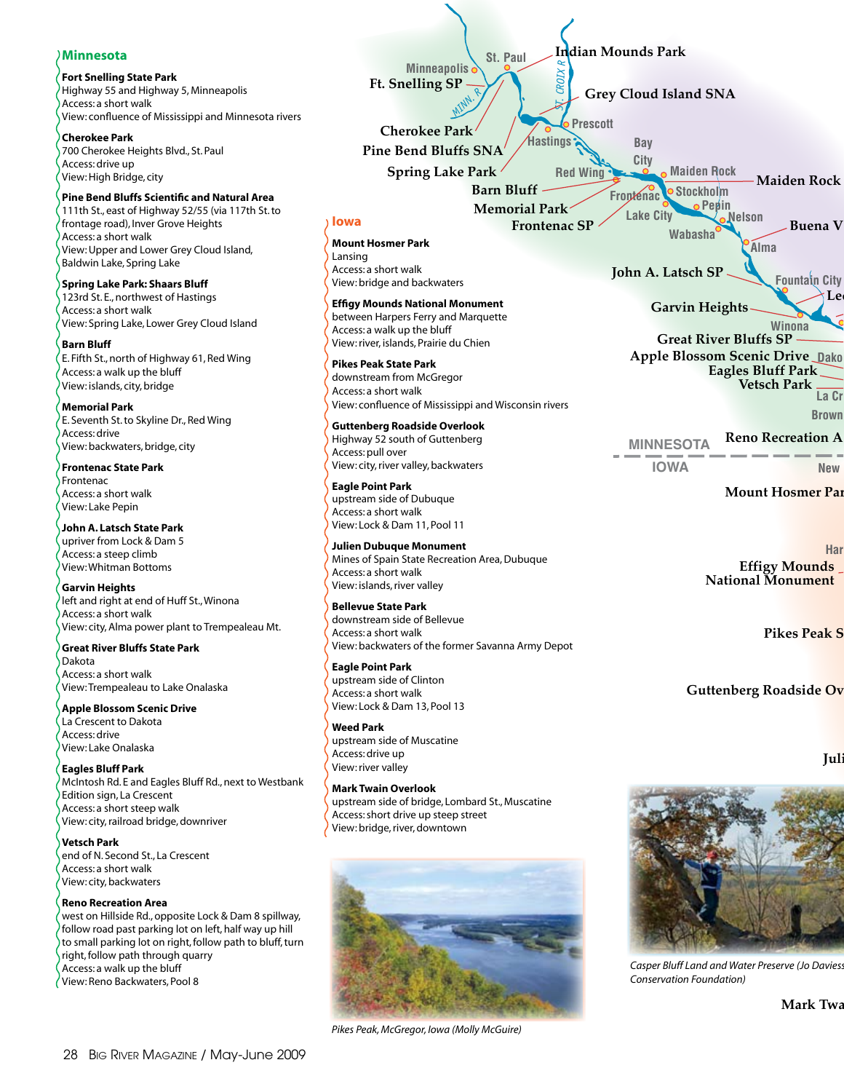# **Minnesota**

**Fort Snelling State Park**

Highway 55 and Highway 5, Minneapolis Access: a short walk View: confluence of Mississippi and Minnesota rivers

**Cherokee Park** 700 Cherokee Heights Blvd., St. Paul Access: drive up View: High Bridge, city

#### **Pine Bend Bluffs Scientific and Natural Area**

111th St., east of Highway 52/55 (via 117th St. to frontage road), Inver Grove Heights Access: a short walk View: Upper and Lower Grey Cloud Island, Baldwin Lake, Spring Lake

**Spring Lake Park: Shaars Bluff** 123rd St. E., northwest of Hastings Access: a short walk View: Spring Lake, Lower Grey Cloud Island

**Barn Bluff** E. Fifth St., north of Highway 61, Red Wing Access: a walk up the bluff View: islands, city, bridge

**Memorial Park** E. Seventh St. to Skyline Dr., Red Wing Access: drive View: backwaters, bridge, city

**Frontenac State Park** Frontenac Access: a short walk View: Lake Pepin

**John A. Latsch State Park** upriver from Lock & Dam 5 Access: a steep climb View: Whitman Bottoms

**Garvin Heights** left and right at end of Huff St., Winona Access: a short walk View: city, Alma power plant to Trempealeau Mt.

#### **Great River Bluffs State Park** Dakota Access: a short walk

View: Trempealeau to Lake Onalaska **Apple Blossom Scenic Drive**

La Crescent to Dakota Access: drive View: Lake Onalaska

**Eagles Bluff Park** McIntosh Rd. E and Eagles Bluff Rd., next to Westbank Edition sign, La Crescent Access: a short steep walk View: city, railroad bridge, downriver

**Vetsch Park** end of N. Second St., La Crescent Access: a short walk View: city, backwaters

#### **Reno Recreation Area**

west on Hillside Rd., opposite Lock & Dam 8 spillway, follow road past parking lot on left, half way up hill to small parking lot on right, follow path to bluff, turn right, follow path through quarry Access: a walk up the bluff View: Reno Backwaters, Pool 8







*Casper Bluff Land and Water Preserve (Jo Daviess Conservation Foundation)*